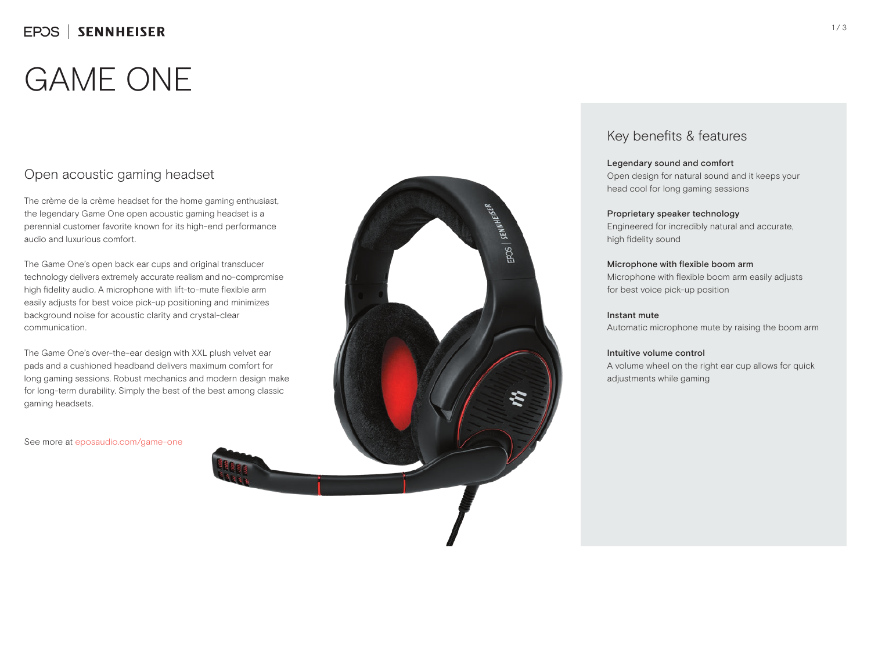# GAME ONE

## Open acoustic gaming headset

The crème de la crème headset for the home gaming enthusiast, the legendary Game One open acoustic gaming headset is a perennial customer favorite known for its high-end performance audio and luxurious comfort.

The Game One's open back ear cups and original transducer technology delivers extremely accurate realism and no-compromise high fidelity audio. A microphone with lift-to-mute flexible arm easily adjusts for best voice pick-up positioning and minimizes background noise for acoustic clarity and crystal-clear communication.

The Game One's over-the-ear design with XXL plush velvet ear pads and a cushioned headband delivers maximum comfort for long gaming sessions. Robust mechanics and modern design make for long-term durability. Simply the best of the best among classic gaming headsets.

See more at eposaudio.com/game-one



### Key benefits & features

#### Legendary sound and comfort

Open design for natural sound and it keeps your head cool for long gaming sessions

#### Proprietary speaker technology

Engineered for incredibly natural and accurate, high fidelity sound

#### Microphone with flexible boom arm

Microphone with flexible boom arm easily adjusts for best voice pick-up position

#### Instant mute

Automatic microphone mute by raising the boom arm

#### Intuitive volume control

A volume wheel on the right ear cup allows for quick adjustments while gaming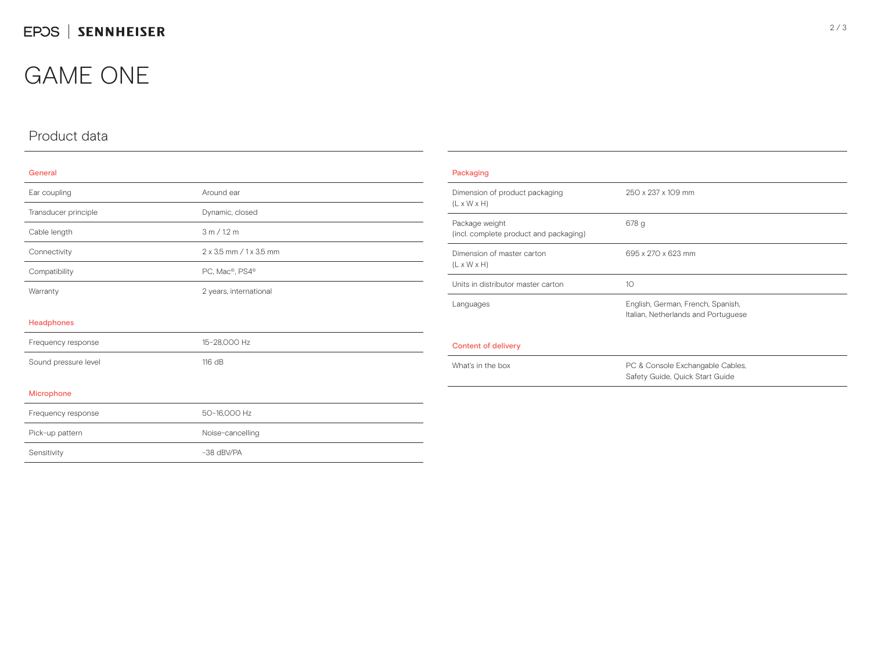## GAME ONE

## Product data

#### General

| Ear coupling         | Around ear              |
|----------------------|-------------------------|
| Transducer principle | Dynamic, closed         |
| Cable length         | 3 m / 1.2 m             |
| Connectivity         | 2 x 3.5 mm / 1 x 3.5 mm |
| Compatibility        | PC, Mac®, PS4®          |
| Warranty             | 2 years, international  |
| Headphones           |                         |
| Frequency response   | 15-28,000 Hz            |
| Sound pressure level | 116 dB                  |
| Microphone           |                         |
| Frequency response   | 50-16,000 Hz            |
| Pick-up pattern      | Noise-cancelling        |
| Sensitivity          | -38 dBV/PA              |

| 250 x 237 x 109 mm                                                       |
|--------------------------------------------------------------------------|
| 678q                                                                     |
| 695 x 270 x 623 mm                                                       |
| 10                                                                       |
| English, German, French, Spanish,<br>Italian, Netherlands and Portuguese |
|                                                                          |
| PC & Console Exchangable Cables,<br>Safety Guide, Quick Start Guide      |
|                                                                          |